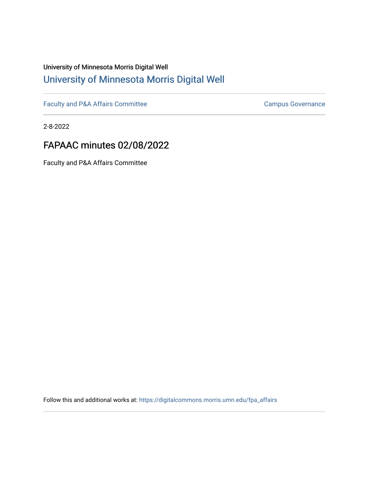# University of Minnesota Morris Digital Well [University of Minnesota Morris Digital Well](https://digitalcommons.morris.umn.edu/)

[Faculty and P&A Affairs Committee](https://digitalcommons.morris.umn.edu/fpa_affairs) [Campus Governance](https://digitalcommons.morris.umn.edu/campgov) Campus Governance

2-8-2022

# FAPAAC minutes 02/08/2022

Faculty and P&A Affairs Committee

Follow this and additional works at: [https://digitalcommons.morris.umn.edu/fpa\\_affairs](https://digitalcommons.morris.umn.edu/fpa_affairs?utm_source=digitalcommons.morris.umn.edu%2Ffpa_affairs%2F198&utm_medium=PDF&utm_campaign=PDFCoverPages)